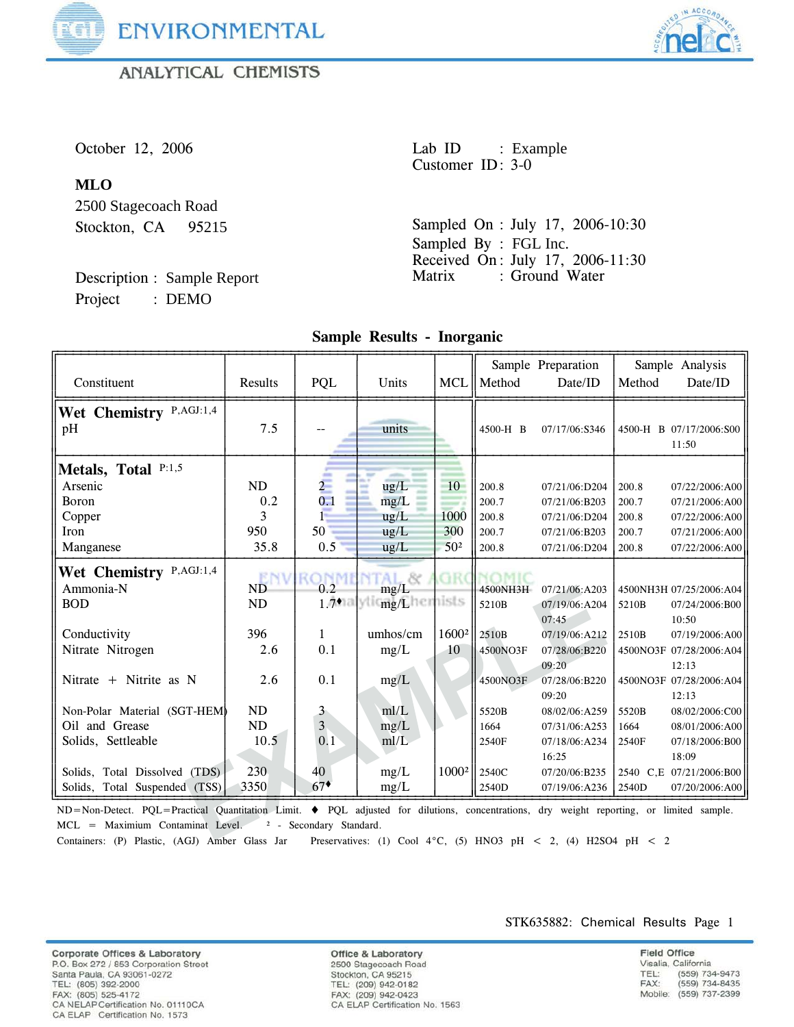

**ANALYTICAL CHEMISTS** 



# **MLO**

2500 Stagecoach Road Stockton, CA 95215

Description : Sample Report Project : DEMO

October 12, 2006 Lab ID : Example Customer ID: 3-0

> Sampled On : July 17, 2006-10:30 Sampled By : FGL Inc. Received On : July 17, 2006-11:30 Matrix : Ground Water

| Constituent                                                                                                                                                                                                                                                                                                                           | Results         | PQL            | Units                                              |                 | MCL    Method     | Sample Preparation<br>Date/ID           | Method | Sample Analysis<br>Date/ID                         |
|---------------------------------------------------------------------------------------------------------------------------------------------------------------------------------------------------------------------------------------------------------------------------------------------------------------------------------------|-----------------|----------------|----------------------------------------------------|-----------------|-------------------|-----------------------------------------|--------|----------------------------------------------------|
| Wet Chemistry P,AGJ:1,4<br>pH                                                                                                                                                                                                                                                                                                         | 7.5             |                | units                                              |                 | 4500-H B          | 07/17/06:S346                           |        | 4500-H B 07/17/2006:S00<br>11:50                   |
| Metals, Total P:1,5                                                                                                                                                                                                                                                                                                                   |                 |                |                                                    |                 |                   |                                         |        |                                                    |
| Arsenic                                                                                                                                                                                                                                                                                                                               | ND              | $\overline{2}$ | $\text{ug/L}$                                      | 10              | 200.8             | 07/21/06:D204                           | 200.8  | 07/22/2006:A00                                     |
| Boron                                                                                                                                                                                                                                                                                                                                 | 0.2             | 0.1            | mg/L                                               |                 | 200.7             | 07/21/06:B203                           | 200.7  | 07/21/2006:A00                                     |
| Copper                                                                                                                                                                                                                                                                                                                                | 3               |                | ug/L                                               | 1000            | 200.8             | 07/21/06:D204                           | 200.8  | 07/22/2006:A00                                     |
| Iron                                                                                                                                                                                                                                                                                                                                  | 950             | 50             | ug/L                                               | 300             | 200.7             | 07/21/06:B203                           | 200.7  | 07/21/2006:A00                                     |
| Manganese                                                                                                                                                                                                                                                                                                                             | 35.8            | 0.5            | $\mu$ g/L                                          | 50 <sup>2</sup> | 200.8             | 07/21/06:D204                           | 200.8  | 07/22/2006:A00                                     |
| Wet Chemistry P,AGJ:1,4<br>Ammonia-N<br><b>BOD</b>                                                                                                                                                                                                                                                                                    | <b>ND</b><br>ND | 0.2            | - 82<br>mg/L<br>1.7malylic <sub>mg/L</sub> hemists |                 | 4500NH3H<br>5210B | 07/21/06:A203<br>07/19/06:A204<br>07:45 | 5210B  | 4500NH3H 07/25/2006:A04<br>07/24/2006:B00<br>10:50 |
| Conductivity                                                                                                                                                                                                                                                                                                                          | 396             | $\mathbf{1}$   | umhos/cm                                           | $1600^2$ 2510B  |                   | 07/19/06:A212                           | 2510B  | 07/19/2006:A00                                     |
| Nitrate Nitrogen                                                                                                                                                                                                                                                                                                                      | 2.6             | 0.1            | mg/L                                               | 10              | 4500NO3F          | 07/28/06:B220                           |        | 4500NO3F 07/28/2006:A04                            |
| Nitrate $+$ Nitrite as N                                                                                                                                                                                                                                                                                                              | 2.6             | 0.1            | mg/L                                               |                 | 4500NO3F          | 09:20<br>07/28/06:B220<br>09:20         |        | 12:13<br>4500NO3F 07/28/2006:A04<br>12:13          |
| Non-Polar Material (SGT-HEM)                                                                                                                                                                                                                                                                                                          | ND              | 3              | mI/L                                               |                 | 5520B             | 08/02/06:A259                           | 5520B  | 08/02/2006:C00                                     |
| Oil and Grease                                                                                                                                                                                                                                                                                                                        | ND              | 3 <sub>1</sub> | mg/L                                               |                 | 1664              | 07/31/06:A253                           | 1664   | 08/01/2006:A00                                     |
| Solids, Settleable                                                                                                                                                                                                                                                                                                                    | 10.5            | 0.1            | ml/L                                               |                 | 2540F             | 07/18/06:A234                           | 2540F  | 07/18/2006:B00                                     |
|                                                                                                                                                                                                                                                                                                                                       |                 |                |                                                    |                 |                   | 16:25                                   |        | 18:09                                              |
| Solids, Total Dissolved (TDS)                                                                                                                                                                                                                                                                                                         | 230             | 40             | mg/L                                               |                 | $1000^2$   2540C  | 07/20/06:B235                           |        | 2540 C,E 07/21/2006:B00                            |
| Solids, Total Suspended (TSS)                                                                                                                                                                                                                                                                                                         | 3350            | $67*$          | mg/L                                               |                 | 2540D             | 07/19/06:A236                           | 2540D  | 07/20/2006:A00                                     |
| ND=Non-Detect. PQL=Practical Quantitation Limit. ♦ PQL adjusted for dilutions, concentrations, dry weight reporting, or limited sample.<br>MCL = Maximium Contaminat Level. <sup>2</sup> - Secondary Standard.<br>Containary (D) Dioctic (ACD) Ambor Class Jan Dressmustives: (1) Cool 49C (5) HMO2 pH $\geq$ 2 (4) H2CO4 pH $\geq$ 2 |                 |                |                                                    |                 |                   |                                         |        |                                                    |

**Sample Results - Inorganic**

Containers: (P) Plastic, (AGJ) Amber Glass Jar Preservatives: (1) Cool 4°C, (5) HNO3 pH < 2, (4) H2SO4 pH < 2

Corporate Offices & Laboratory P.O. Box 272 / 853 Corporation Street Santa Paula, CA 93061-0272 TEL: (805) 392-2000 FAX: (805) 525-4172 CA NELAP Certification No. 01110CA CA ELAP Certification No. 1573

**Office & Laboratory** 2500 Stagecoach Road Stockton, CA 95215 TEL: (209) 942-0182 FAX: (209) 942-0423 CA ELAP Certification No. 1563 STK635882: Chemical Results Page 1

**Field Office** Visalia, California (559) 734-9473<br>(559) 734-8435 TEL: FAX: Mobile: (559) 737-2399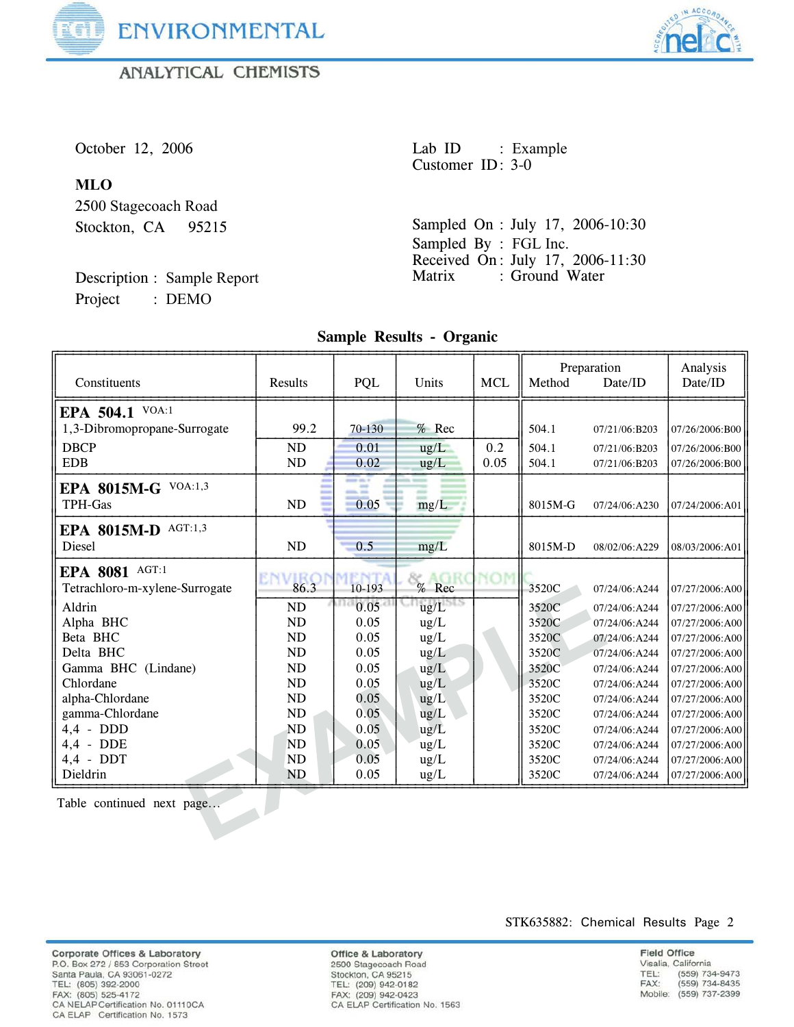

**ANALYTICAL CHEMISTS** 



# **MLO**

2500 Stagecoach Road Stockton, CA 95215

Description : Sample Report Project : DEMO

October 12, 2006 Lab ID : Example Customer ID: 3-0

> Sampled On : July 17, 2006-10:30 Sampled By : FGL Inc. Received On: July 17, 2006-11:30<br>Matrix : Ground Water : Ground Water

# **Sample Results - Organic**

| Constituents                   | Results   | PQL    | Units         | <b>MCL</b> | Method  | Preparation<br>Date/ID | Analysis<br>Date/ID |
|--------------------------------|-----------|--------|---------------|------------|---------|------------------------|---------------------|
| EPA 504.1 VOA:1                |           |        |               |            |         |                        |                     |
| 1,3-Dibromopropane-Surrogate   | 99.2      | 70-130 | $%$ Rec       |            | 504.1   | 07/21/06:B203          | 07/26/2006:B00      |
| <b>DBCP</b>                    | ND        | 0.01   | ug/L          | 0.2        | 504.1   | 07/21/06:B203          | 07/26/2006:B00      |
| <b>EDB</b>                     | ND        | 0.02   | ug/L          | 0.05       | 504.1   | 07/21/06:B203          | 07/26/2006:B00      |
| EPA 8015M-G VOA:1,3            |           |        |               |            |         |                        |                     |
| TPH-Gas                        | <b>ND</b> | 0.05   | mg/L          |            | 8015M-G | 07/24/06:A230          | 07/24/2006:A01      |
| EPA 8015M-D AGT:1,3            |           |        |               |            |         |                        |                     |
| Diesel                         | ND        | 0.5    | mg/L          |            | 8015M-D | 08/02/06:A229          | 08/03/2006:A01      |
| EPA 8081 AGT:1                 |           |        |               |            |         |                        |                     |
| Tetrachloro-m-xylene-Surrogate | 86.3      | 10-193 | % Rec         |            | 3520C   | 07/24/06:A244          | 07/27/2006:A00      |
| Aldrin                         | ND        | 0.05   | ug/L          |            | 3520C   | 07/24/06:A244          | 07/27/2006:A00      |
| Alpha BHC                      | <b>ND</b> | 0.05   | ug/L          |            | 3520C   | 07/24/06:A244          | 07/27/2006:A00      |
| Beta BHC                       | <b>ND</b> | 0.05   | $\text{ug/L}$ |            | 3520C   | 07/24/06:A244          | 07/27/2006:A00      |
| Delta BHC                      | <b>ND</b> | 0.05   | $\text{ug/L}$ |            | 3520C   | 07/24/06:A244          | 07/27/2006:A00      |
| Gamma BHC (Lindane)            | <b>ND</b> | 0.05   | ug/L          |            | 3520C   | 07/24/06:A244          | 07/27/2006:A00      |
| Chlordane                      | <b>ND</b> | 0.05   | ug/L          |            | 3520C   | 07/24/06:A244          | 07/27/2006:A00      |
| alpha-Chlordane                | <b>ND</b> | 0.05   | ug/L          |            | 3520C   | 07/24/06:A244          | 07/27/2006:A00      |
| gamma-Chlordane                | <b>ND</b> | 0.05   | $\text{ug/L}$ |            | 3520C   | 07/24/06:A244          | 07/27/2006:A00      |
| $4.4$ - DDD                    | <b>ND</b> | 0.05   | ug/L          |            | 3520C   | 07/24/06:A244          | 07/27/2006:A00      |
| $4,4$ - DDE                    | <b>ND</b> | 0.05   | $\text{ug/L}$ |            | 3520C   | 07/24/06:A244          | 07/27/2006:A00      |
| $4,4$ - DDT                    | <b>ND</b> | 0.05   | $\text{ug/L}$ |            | 3520C   | 07/24/06:A244          | 07/27/2006:A00      |
| Dieldrin                       | <b>ND</b> | 0.05   | ug/L          |            | 3520C   | 07/24/06:A244          | 07/27/2006:A00      |
| Table continued next page      |           |        |               |            |         |                        |                     |

Corporate Offices & Laboratory P.O. Box 272 / 853 Corporation Street<br>Santa Paula, CA 93061-0272 State 1 4 and 7.0 392-2000<br>FAX: (805) 392-2000<br>FAX: (805) 525-4172<br>CA NELAP Certification No. 01110CA CA ELAP Certification No. 1573

**Office & Laboratory** 2500 Stagecoach Road Stockton, CA 95215<br>TEL: (209) 942-0182<br>FAX: (209) 942-0423<br>CA ELAP Certification No. 1563 STK635882: Chemical Results Page 2

**Field Office** Visalia, California (559) 734-9473<br>(559) 734-8435 TEL: FAX: Mobile: (559) 737-2399